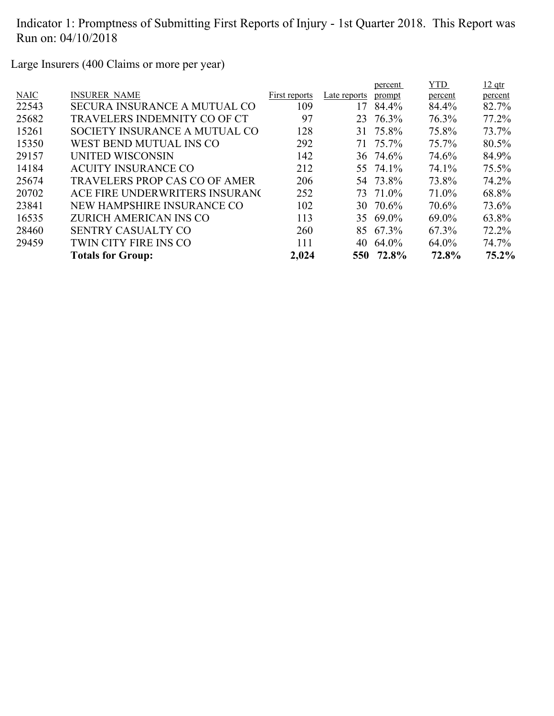Large Insurers (400 Claims or more per year)

| <b>INSURER NAME</b><br><b>NAIC</b><br>First reports<br>Late reports<br>prompt<br>percent<br>109<br>22543<br><b>SECURA INSURANCE A MUTUAL CO</b><br>84.4%<br>84.4%<br>17<br>97<br>76.3%<br>25682<br>23 76.3%<br>TRAVELERS INDEMNITY CO OF CT<br>31 75.8%<br>75.8%<br>15261<br>SOCIETY INSURANCE A MUTUAL CO<br>128<br>75.7%<br>15350<br>WEST BEND MUTUAL INS CO<br>292<br>71 75.7%<br>29157<br>UNITED WISCONSIN<br>142<br>36 74.6%<br>74.6%<br>14184<br><b>ACUITY INSURANCE CO</b><br>55 74.1%<br>74.1%<br>212<br>25674<br>206<br>54 73.8%<br>73.8%<br><b>TRAVELERS PROP CAS CO OF AMER</b><br>20702<br>ACE FIRE UNDERWRITERS INSURANG<br>73 71.0%<br>71.0%<br>252<br>23841<br>102<br>NEW HAMPSHIRE INSURANCE CO<br>30 70.6%<br>70.6%<br>16535<br>35 69.0%<br>ZURICH AMERICAN INS CO<br>113<br>69.0%<br>28460<br>260<br>85 67.3%<br>67.3%<br><b>SENTRY CASUALTY CO</b><br>29459<br>TWIN CITY FIRE INS CO<br>111<br>64.0%<br>64.0%<br>40<br>2,024<br>72.8%<br>550 72.8%<br><b>Totals for Group:</b> |  |  | percent | YTD. | $12$ qtr |
|---------------------------------------------------------------------------------------------------------------------------------------------------------------------------------------------------------------------------------------------------------------------------------------------------------------------------------------------------------------------------------------------------------------------------------------------------------------------------------------------------------------------------------------------------------------------------------------------------------------------------------------------------------------------------------------------------------------------------------------------------------------------------------------------------------------------------------------------------------------------------------------------------------------------------------------------------------------------------------------------------|--|--|---------|------|----------|
|                                                                                                                                                                                                                                                                                                                                                                                                                                                                                                                                                                                                                                                                                                                                                                                                                                                                                                                                                                                                   |  |  |         |      | percent  |
|                                                                                                                                                                                                                                                                                                                                                                                                                                                                                                                                                                                                                                                                                                                                                                                                                                                                                                                                                                                                   |  |  |         |      | 82.7%    |
|                                                                                                                                                                                                                                                                                                                                                                                                                                                                                                                                                                                                                                                                                                                                                                                                                                                                                                                                                                                                   |  |  |         |      | 77.2%    |
|                                                                                                                                                                                                                                                                                                                                                                                                                                                                                                                                                                                                                                                                                                                                                                                                                                                                                                                                                                                                   |  |  |         |      | 73.7%    |
|                                                                                                                                                                                                                                                                                                                                                                                                                                                                                                                                                                                                                                                                                                                                                                                                                                                                                                                                                                                                   |  |  |         |      | 80.5%    |
|                                                                                                                                                                                                                                                                                                                                                                                                                                                                                                                                                                                                                                                                                                                                                                                                                                                                                                                                                                                                   |  |  |         |      | 84.9%    |
|                                                                                                                                                                                                                                                                                                                                                                                                                                                                                                                                                                                                                                                                                                                                                                                                                                                                                                                                                                                                   |  |  |         |      | 75.5%    |
|                                                                                                                                                                                                                                                                                                                                                                                                                                                                                                                                                                                                                                                                                                                                                                                                                                                                                                                                                                                                   |  |  |         |      | 74.2%    |
|                                                                                                                                                                                                                                                                                                                                                                                                                                                                                                                                                                                                                                                                                                                                                                                                                                                                                                                                                                                                   |  |  |         |      | 68.8%    |
|                                                                                                                                                                                                                                                                                                                                                                                                                                                                                                                                                                                                                                                                                                                                                                                                                                                                                                                                                                                                   |  |  |         |      | 73.6%    |
|                                                                                                                                                                                                                                                                                                                                                                                                                                                                                                                                                                                                                                                                                                                                                                                                                                                                                                                                                                                                   |  |  |         |      | 63.8%    |
|                                                                                                                                                                                                                                                                                                                                                                                                                                                                                                                                                                                                                                                                                                                                                                                                                                                                                                                                                                                                   |  |  |         |      | 72.2%    |
|                                                                                                                                                                                                                                                                                                                                                                                                                                                                                                                                                                                                                                                                                                                                                                                                                                                                                                                                                                                                   |  |  |         |      | 74.7%    |
|                                                                                                                                                                                                                                                                                                                                                                                                                                                                                                                                                                                                                                                                                                                                                                                                                                                                                                                                                                                                   |  |  |         |      | 75.2%    |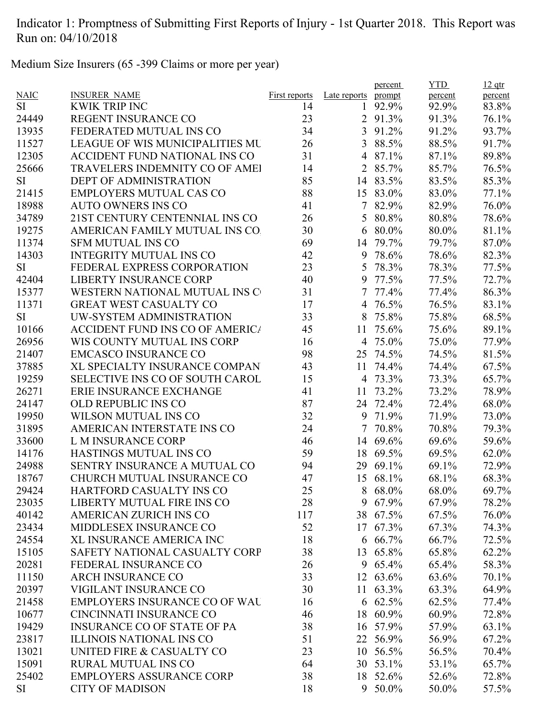Medium Size Insurers (65 -399 Claims or more per year)

|             |                                        |               |                | percent  | <b>YTD</b> | $12$ qtr |
|-------------|----------------------------------------|---------------|----------------|----------|------------|----------|
| <b>NAIC</b> | <b>INSURER NAME</b>                    | First reports | Late reports   | prompt   | percent    | percent  |
| <b>SI</b>   | <b>KWIK TRIP INC</b>                   | 14            | 1              | 92.9%    | 92.9%      | 83.8%    |
| 24449       | REGENT INSURANCE CO                    | 23            |                | 2 91.3%  | 91.3%      | 76.1%    |
| 13935       | FEDERATED MUTUAL INS CO                | 34            |                | 3 91.2%  | 91.2%      | 93.7%    |
| 11527       | <b>LEAGUE OF WIS MUNICIPALITIES MU</b> | 26            | 3              | 88.5%    | 88.5%      | 91.7%    |
| 12305       | ACCIDENT FUND NATIONAL INS CO          | 31            | 4              | 87.1%    | 87.1%      | 89.8%    |
| 25666       | TRAVELERS INDEMNITY CO OF AMEI         | 14            |                | 2 85.7%  | 85.7%      | 76.5%    |
| <b>SI</b>   | <b>DEPT OF ADMINISTRATION</b>          | 85            |                | 14 83.5% | 83.5%      | 85.3%    |
| 21415       | <b>EMPLOYERS MUTUAL CAS CO</b>         | 88            |                | 15 83.0% | 83.0%      | 77.1%    |
| 18988       | <b>AUTO OWNERS INS CO</b>              | 41            | $\tau$         | 82.9%    | 82.9%      | 76.0%    |
| 34789       | 21ST CENTURY CENTENNIAL INS CO         | 26            |                | 5 80.8%  | 80.8%      | 78.6%    |
| 19275       | AMERICAN FAMILY MUTUAL INS CO          | 30            | 6              | 80.0%    | 80.0%      | 81.1%    |
| 11374       | <b>SFM MUTUAL INS CO</b>               | 69            | 14             | 79.7%    | 79.7%      | 87.0%    |
| 14303       | <b>INTEGRITY MUTUAL INS CO</b>         | 42            | 9              | 78.6%    | 78.6%      | 82.3%    |
| <b>SI</b>   | FEDERAL EXPRESS CORPORATION            | 23            | 5              | 78.3%    | 78.3%      | 77.5%    |
| 42404       | <b>LIBERTY INSURANCE CORP</b>          | 40            | 9              | 77.5%    | 77.5%      | 72.7%    |
| 15377       | WESTERN NATIONAL MUTUAL INS C          | 31            | $\overline{7}$ | 77.4%    | 77.4%      | 86.3%    |
| 11371       | <b>GREAT WEST CASUALTY CO</b>          | 17            |                | 4 76.5%  | 76.5%      | 83.1%    |
| SI          | UW-SYSTEM ADMINISTRATION               | 33            | 8              | 75.8%    | 75.8%      | 68.5%    |
| 10166       | <b>ACCIDENT FUND INS CO OF AMERICA</b> | 45            | 11             | 75.6%    | 75.6%      | 89.1%    |
| 26956       | WIS COUNTY MUTUAL INS CORP             | 16            |                | 4 75.0%  | 75.0%      | 77.9%    |
| 21407       | <b>EMCASCO INSURANCE CO</b>            | 98            |                | 25 74.5% | 74.5%      | 81.5%    |
| 37885       | XL SPECIALTY INSURANCE COMPAN          | 43            | 11             | 74.4%    | 74.4%      | 67.5%    |
| 19259       | SELECTIVE INS CO OF SOUTH CAROL        | 15            |                | 4 73.3%  | 73.3%      | 65.7%    |
| 26271       | ERIE INSURANCE EXCHANGE                | 41            | 11             | 73.2%    | 73.2%      | 78.9%    |
| 24147       | <b>OLD REPUBLIC INS CO</b>             | 87            | 24             | 72.4%    | 72.4%      | 68.0%    |
| 19950       | WILSON MUTUAL INS CO                   | 32            | 9              | 71.9%    | 71.9%      | 73.0%    |
| 31895       | AMERICAN INTERSTATE INS CO             | 24            | 7              | 70.8%    | 70.8%      | 79.3%    |
| 33600       | L M INSURANCE CORP                     | 46            |                | 14 69.6% | 69.6%      | 59.6%    |
| 14176       | HASTINGS MUTUAL INS CO                 | 59            |                | 18 69.5% | 69.5%      | 62.0%    |
| 24988       | SENTRY INSURANCE A MUTUAL CO           | 94            | 29             | 69.1%    | 69.1%      | 72.9%    |
| 18767       | CHURCH MUTUAL INSURANCE CO             | 47            |                | 15 68.1% | 68.1%      | 68.3%    |
|             |                                        |               |                |          |            |          |
| 29424       | HARTFORD CASUALTY INS CO               | 25            | 8              | 68.0%    | 68.0%      | 69.7%    |
| 23035       | LIBERTY MUTUAL FIRE INS CO             | 28            |                | 9 67.9%  | 67.9%      | 78.2%    |
| 40142       | AMERICAN ZURICH INS CO                 | 117           |                | 38 67.5% | 67.5%      | 76.0%    |
| 23434       | MIDDLESEX INSURANCE CO                 | 52            | 17             | 67.3%    | 67.3%      | 74.3%    |
| 24554       | XL INSURANCE AMERICA INC               | 18            | 6              | 66.7%    | 66.7%      | 72.5%    |
| 15105       | SAFETY NATIONAL CASUALTY CORP          | 38            | 13             | 65.8%    | 65.8%      | 62.2%    |
| 20281       | FEDERAL INSURANCE CO                   | 26            |                | 9 65.4%  | 65.4%      | 58.3%    |
| 11150       | <b>ARCH INSURANCE CO</b>               | 33            | 12             | 63.6%    | 63.6%      | 70.1%    |
| 20397       | VIGILANT INSURANCE CO                  | 30            | 11             | 63.3%    | 63.3%      | 64.9%    |
| 21458       | <b>EMPLOYERS INSURANCE CO OF WAL</b>   | 16            |                | 6 62.5%  | 62.5%      | 77.4%    |
| 10677       | CINCINNATI INSURANCE CO                | 46            | 18             | 60.9%    | 60.9%      | 72.8%    |
| 19429       | <b>INSURANCE CO OF STATE OF PA</b>     | 38            | 16             | 57.9%    | 57.9%      | 63.1%    |
| 23817       | <b>ILLINOIS NATIONAL INS CO</b>        | 51            | 22             | 56.9%    | 56.9%      | 67.2%    |
| 13021       | UNITED FIRE & CASUALTY CO              | 23            | 10             | 56.5%    | 56.5%      | 70.4%    |
| 15091       | <b>RURAL MUTUAL INS CO</b>             | 64            |                | 30 53.1% | 53.1%      | 65.7%    |
| 25402       | <b>EMPLOYERS ASSURANCE CORP</b>        | 38            |                | 18 52.6% | 52.6%      | 72.8%    |
| SI          | <b>CITY OF MADISON</b>                 | 18            |                | 9 50.0%  | 50.0%      | 57.5%    |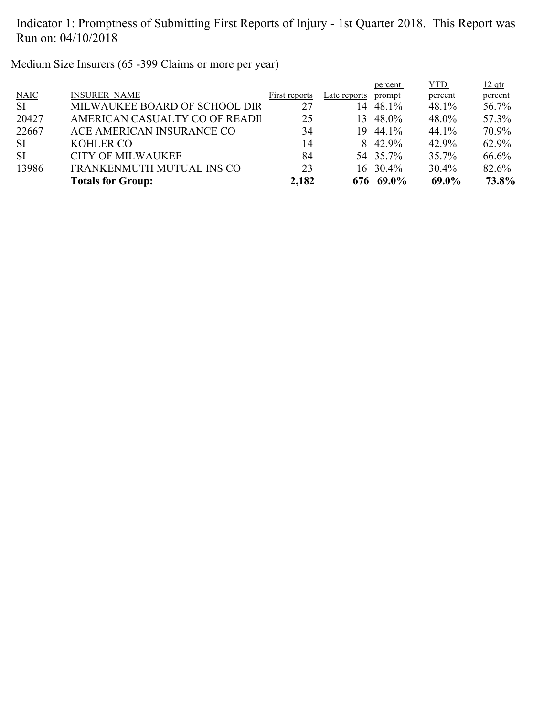Medium Size Insurers (65 -399 Claims or more per year)

|               |                               |               |              | percent       | YTD.    | $12$ qtr |
|---------------|-------------------------------|---------------|--------------|---------------|---------|----------|
| <b>NAIC</b>   | <b>INSURER NAME</b>           | First reports | Late reports | prompt        | percent | percent  |
| <sup>SI</sup> | MILWAUKEE BOARD OF SCHOOL DIR | 27            | 14           | 48.1%         | 48.1%   | 56.7%    |
| 20427         | AMERICAN CASUALTY CO OF READI | 25            | 13.          | 48.0%         | 48.0%   | 57.3%    |
| 22667         | ACE AMERICAN INSURANCE CO     | 34            | 19.          | 44.1%         | 44.1%   | 70.9%    |
| <b>SI</b>     | <b>KOHLER CO</b>              | 14            |              | 8 42.9%       | 42.9%   | 62.9%    |
| <b>SI</b>     | <b>CITY OF MILWAUKEE</b>      | 84            |              | 54 35.7%      | 35.7%   | 66.6%    |
| 13986         | FRANKENMUTH MUTUAL INS CO     | 23            |              | $16 \t30.4\%$ | 30.4%   | 82.6%    |
|               | <b>Totals for Group:</b>      | 2,182         |              | 676 69.0%     | 69.0%   | 73.8%    |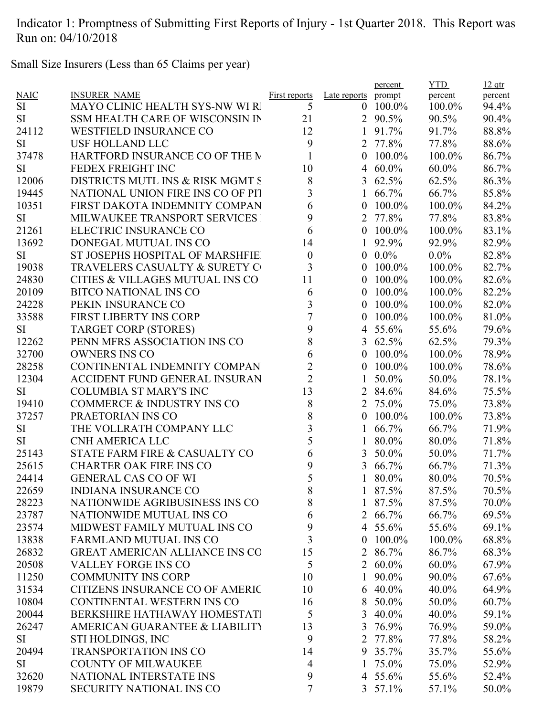Small Size Insurers (Less than 65 Claims per year)

|                 |                                       |                         |                  | percent         | <b>YTD</b> | $12$ qtr |
|-----------------|---------------------------------------|-------------------------|------------------|-----------------|------------|----------|
| <b>NAIC</b>     | <b>INSURER NAME</b>                   | <b>First reports</b>    | Late reports     | prompt          | percent    | percent  |
| SI              | <b>MAYO CLINIC HEALTH SYS-NW WI R</b> | 5                       | $\theta$         | 100.0%          | 100.0%     | 94.4%    |
| <b>SI</b>       | SSM HEALTH CARE OF WISCONSIN IN       | 21                      |                  | 2 90.5%         | 90.5%      | 90.4%    |
| 24112           | <b>WESTFIELD INSURANCE CO</b>         | 12                      | 1                | 91.7%           | 91.7%      | 88.8%    |
| <b>SI</b>       | <b>USF HOLLAND LLC</b>                | 9                       | $\overline{2}$   | 77.8%           | 77.8%      | 88.6%    |
| 37478           | HARTFORD INSURANCE CO OF THE M        | $\mathbf{1}$            | $\overline{0}$   | 100.0%          | 100.0%     | 86.7%    |
| <b>SI</b>       | FEDEX FREIGHT INC                     | 10                      | 4                | $60.0\%$        | $60.0\%$   | 86.7%    |
| 12006           | DISTRICTS MUTL INS & RISK MGMT S      | 8                       | 3                | 62.5%           | 62.5%      | 86.3%    |
| 19445           | NATIONAL UNION FIRE INS CO OF PIT     | 3                       | 1                | 66.7%           | 66.7%      | 85.8%    |
| 10351           | FIRST DAKOTA INDEMNITY COMPAN         | 6                       | $\overline{0}$   | 100.0%          | 100.0%     | 84.2%    |
| <b>SI</b>       | MILWAUKEE TRANSPORT SERVICES          | 9                       | 2                | 77.8%           | 77.8%      | 83.8%    |
| 21261           | ELECTRIC INSURANCE CO                 | 6                       | $\overline{0}$   | 100.0%          | 100.0%     | 83.1%    |
| 13692           | DONEGAL MUTUAL INS CO                 | 14                      | 1                | 92.9%           | 92.9%      | 82.9%    |
| <b>SI</b>       | ST JOSEPHS HOSPITAL OF MARSHFIE       | $\boldsymbol{0}$        | $\mathbf{0}$     | $0.0\%$         | $0.0\%$    | 82.8%    |
| 19038           | TRAVELERS CASUALTY & SURETY C         | 3                       | $\overline{0}$   | 100.0%          | 100.0%     | 82.7%    |
| 24830           | CITIES & VILLAGES MUTUAL INS CO       | 11                      | $\overline{0}$   | 100.0%          | 100.0%     | 82.6%    |
| 20109           | <b>BITCO NATIONAL INS CO</b>          | 6                       | $\overline{0}$   | $100.0\%$       | 100.0%     | 82.2%    |
| 24228           | PEKIN INSURANCE CO                    | 3                       | $\overline{0}$   | 100.0%          | 100.0%     | 82.0%    |
| 33588           | <b>FIRST LIBERTY INS CORP</b>         | $\overline{7}$          | $\overline{0}$   | 100.0%          | 100.0%     | 81.0%    |
| <b>SI</b>       | <b>TARGET CORP (STORES)</b>           | 9                       |                  | 4 $55.6\%$      | 55.6%      | 79.6%    |
| 12262           | PENN MFRS ASSOCIATION INS CO          | 8                       | 3                | 62.5%           | 62.5%      | 79.3%    |
| 32700           | <b>OWNERS INS CO</b>                  | 6                       | $\theta$         | 100.0%          | 100.0%     | 78.9%    |
| 28258           | CONTINENTAL INDEMNITY COMPAN          | $\overline{c}$          | $\boldsymbol{0}$ | 100.0%          | 100.0%     | 78.6%    |
| 12304           | <b>ACCIDENT FUND GENERAL INSURAN</b>  | $\overline{2}$          | 1                | 50.0%           | 50.0%      | 78.1%    |
| <b>SI</b>       | <b>COLUMBIA ST MARY'S INC</b>         | 13                      | $\overline{2}$   | 84.6%           | 84.6%      | 75.5%    |
| 19410           | <b>COMMERCE &amp; INDUSTRY INS CO</b> | 8                       | $\overline{2}$   | 75.0%           | 75.0%      | 73.8%    |
| 37257           | PRAETORIAN INS CO                     | $\,8$                   | $\mathbf{0}$     | 100.0%          | 100.0%     | 73.8%    |
|                 | THE VOLLRATH COMPANY LLC              | 3                       |                  | 66.7%           | 66.7%      | 71.9%    |
| SI<br><b>SI</b> | <b>CNH AMERICA LLC</b>                | 5                       |                  |                 |            |          |
|                 |                                       |                         |                  | 80.0%           | 80.0%      | 71.8%    |
| 25143           | STATE FARM FIRE & CASUALTY CO         | 6                       | 3                | 50.0%           | 50.0%      | 71.7%    |
| 25615           | <b>CHARTER OAK FIRE INS CO</b>        | 9                       | 3                | 66.7%           | 66.7%      | 71.3%    |
| 24414           | <b>GENERAL CAS CO OF WI</b>           | 5                       |                  | 80.0%           | 80.0%      | 70.5%    |
| 22659           | <b>INDIANA INSURANCE CO</b>           | 8                       |                  | 87.5%           | 87.5%      | 70.5%    |
| 28223           | NATIONWIDE AGRIBUSINESS INS CO        | $\,8\,$                 | 1                | 87.5%           | 87.5%      | 70.0%    |
| 23787           | NATIONWIDE MUTUAL INS CO              | 6                       | $\overline{2}$   | 66.7%           | 66.7%      | 69.5%    |
| 23574           | MIDWEST FAMILY MUTUAL INS CO          | 9                       |                  | 4 $55.6\%$      | 55.6%      | 69.1%    |
| 13838           | <b>FARMLAND MUTUAL INS CO</b>         | $\overline{\mathbf{3}}$ | $\overline{0}$   | 100.0%          | 100.0%     | 68.8%    |
| 26832           | <b>GREAT AMERICAN ALLIANCE INS CO</b> | 15                      |                  | 2 86.7%         | 86.7%      | 68.3%    |
| 20508           | <b>VALLEY FORGE INS CO</b>            | 5                       |                  | 2 $60.0\%$      | $60.0\%$   | 67.9%    |
| 11250           | <b>COMMUNITY INS CORP</b>             | 10                      | 1                | 90.0%           | 90.0%      | 67.6%    |
| 31534           | CITIZENS INSURANCE CO OF AMERIC       | 10                      |                  | $6\quad 40.0\%$ | 40.0%      | 64.9%    |
| 10804           | CONTINENTAL WESTERN INS CO            | 16                      | 8                | 50.0%           | 50.0%      | 60.7%    |
| 20044           | BERKSHIRE HATHAWAY HOMESTATI          | 5                       | 3                | $40.0\%$        | 40.0%      | 59.1%    |
| 26247           | AMERICAN GUARANTEE & LIABILITY        | 13                      | 3                | 76.9%           | 76.9%      | 59.0%    |
| SI              | STI HOLDINGS, INC                     | 9                       | $\overline{2}$   | 77.8%           | 77.8%      | 58.2%    |
| 20494           | <b>TRANSPORTATION INS CO</b>          | 14                      |                  | 9 35.7%         | 35.7%      | 55.6%    |
| <b>SI</b>       | <b>COUNTY OF MILWAUKEE</b>            | $\overline{4}$          | 1                | 75.0%           | 75.0%      | 52.9%    |
| 32620           | NATIONAL INTERSTATE INS               | 9                       |                  | 4 55.6%         | 55.6%      | 52.4%    |
| 19879           | <b>SECURITY NATIONAL INS CO</b>       | $\overline{7}$          |                  | $3\;\;57.1\%$   | 57.1%      | 50.0%    |
|                 |                                       |                         |                  |                 |            |          |